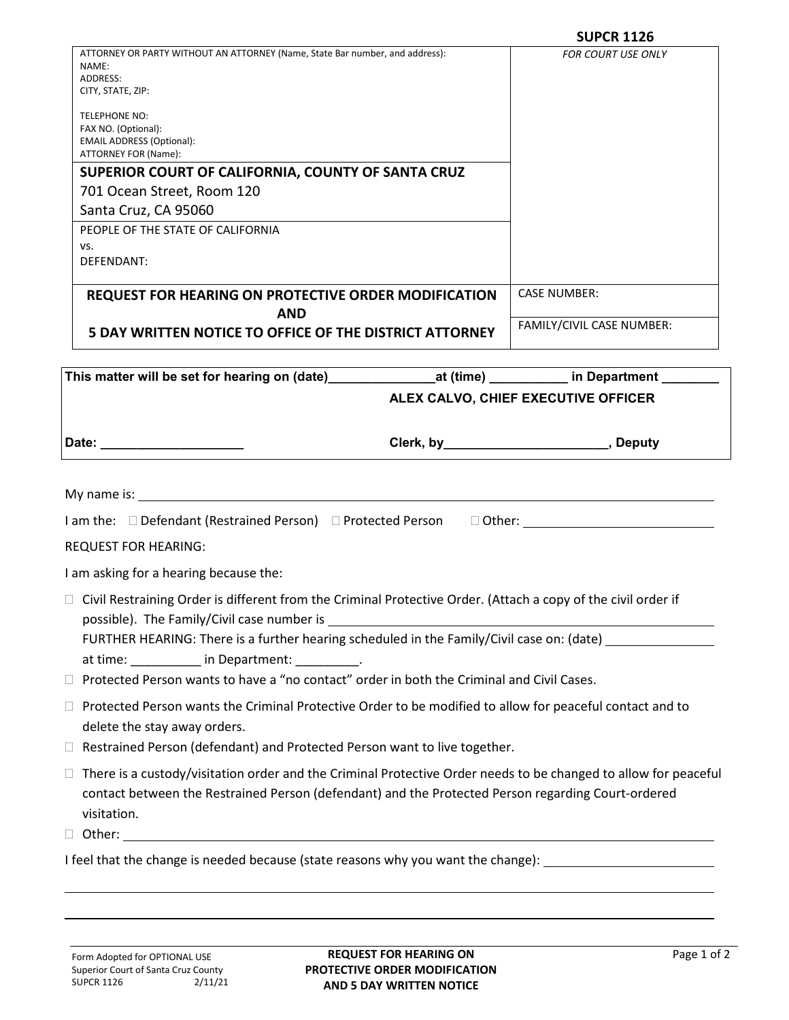|                                                                                                                                                                                                                                                                                                                                                                                                                                                                                                                                                                                                                                                                                                                     | <b>SUPCR 1126</b>                          |
|---------------------------------------------------------------------------------------------------------------------------------------------------------------------------------------------------------------------------------------------------------------------------------------------------------------------------------------------------------------------------------------------------------------------------------------------------------------------------------------------------------------------------------------------------------------------------------------------------------------------------------------------------------------------------------------------------------------------|--------------------------------------------|
| ATTORNEY OR PARTY WITHOUT AN ATTORNEY (Name, State Bar number, and address):<br>NAME:<br>ADDRESS:<br>CITY, STATE, ZIP:                                                                                                                                                                                                                                                                                                                                                                                                                                                                                                                                                                                              | <b>FOR COURT USE ONLY</b>                  |
| TELEPHONE NO:                                                                                                                                                                                                                                                                                                                                                                                                                                                                                                                                                                                                                                                                                                       |                                            |
| FAX NO. (Optional):<br><b>EMAIL ADDRESS (Optional):</b>                                                                                                                                                                                                                                                                                                                                                                                                                                                                                                                                                                                                                                                             |                                            |
| ATTORNEY FOR (Name):                                                                                                                                                                                                                                                                                                                                                                                                                                                                                                                                                                                                                                                                                                |                                            |
| SUPERIOR COURT OF CALIFORNIA, COUNTY OF SANTA CRUZ                                                                                                                                                                                                                                                                                                                                                                                                                                                                                                                                                                                                                                                                  |                                            |
| 701 Ocean Street, Room 120<br>Santa Cruz, CA 95060                                                                                                                                                                                                                                                                                                                                                                                                                                                                                                                                                                                                                                                                  |                                            |
| PEOPLE OF THE STATE OF CALIFORNIA                                                                                                                                                                                                                                                                                                                                                                                                                                                                                                                                                                                                                                                                                   |                                            |
| VS.                                                                                                                                                                                                                                                                                                                                                                                                                                                                                                                                                                                                                                                                                                                 |                                            |
| DEFENDANT:                                                                                                                                                                                                                                                                                                                                                                                                                                                                                                                                                                                                                                                                                                          |                                            |
| REQUEST FOR HEARING ON PROTECTIVE ORDER MODIFICATION<br><b>AND</b>                                                                                                                                                                                                                                                                                                                                                                                                                                                                                                                                                                                                                                                  | <b>CASE NUMBER:</b>                        |
| 5 DAY WRITTEN NOTICE TO OFFICE OF THE DISTRICT ATTORNEY                                                                                                                                                                                                                                                                                                                                                                                                                                                                                                                                                                                                                                                             | FAMILY/CIVIL CASE NUMBER:                  |
|                                                                                                                                                                                                                                                                                                                                                                                                                                                                                                                                                                                                                                                                                                                     |                                            |
|                                                                                                                                                                                                                                                                                                                                                                                                                                                                                                                                                                                                                                                                                                                     |                                            |
|                                                                                                                                                                                                                                                                                                                                                                                                                                                                                                                                                                                                                                                                                                                     |                                            |
|                                                                                                                                                                                                                                                                                                                                                                                                                                                                                                                                                                                                                                                                                                                     | ALEX CALVO, CHIEF EXECUTIVE OFFICER        |
| Date: _______________________                                                                                                                                                                                                                                                                                                                                                                                                                                                                                                                                                                                                                                                                                       | Clerk, by ________________________, Deputy |
| I am the: □ Defendant (Restrained Person) □ Protected Person □ Other:                                                                                                                                                                                                                                                                                                                                                                                                                                                                                                                                                                                                                                               |                                            |
|                                                                                                                                                                                                                                                                                                                                                                                                                                                                                                                                                                                                                                                                                                                     |                                            |
| <b>REQUEST FOR HEARING:</b>                                                                                                                                                                                                                                                                                                                                                                                                                                                                                                                                                                                                                                                                                         |                                            |
| FURTHER HEARING: There is a further hearing scheduled in the Family/Civil case on: (date) __________                                                                                                                                                                                                                                                                                                                                                                                                                                                                                                                                                                                                                |                                            |
| at time: __________ in Department: _________.                                                                                                                                                                                                                                                                                                                                                                                                                                                                                                                                                                                                                                                                       |                                            |
|                                                                                                                                                                                                                                                                                                                                                                                                                                                                                                                                                                                                                                                                                                                     |                                            |
|                                                                                                                                                                                                                                                                                                                                                                                                                                                                                                                                                                                                                                                                                                                     |                                            |
| delete the stay away orders.                                                                                                                                                                                                                                                                                                                                                                                                                                                                                                                                                                                                                                                                                        |                                            |
| I am asking for a hearing because the:<br>$\Box$ Civil Restraining Order is different from the Criminal Protective Order. (Attach a copy of the civil order if<br>□ Protected Person wants to have a "no contact" order in both the Criminal and Civil Cases.<br>$\Box$ Protected Person wants the Criminal Protective Order to be modified to allow for peaceful contact and to<br>$\Box$ Restrained Person (defendant) and Protected Person want to live together.<br>$\Box$ There is a custody/visitation order and the Criminal Protective Order needs to be changed to allow for peaceful<br>contact between the Restrained Person (defendant) and the Protected Person regarding Court-ordered<br>visitation. |                                            |